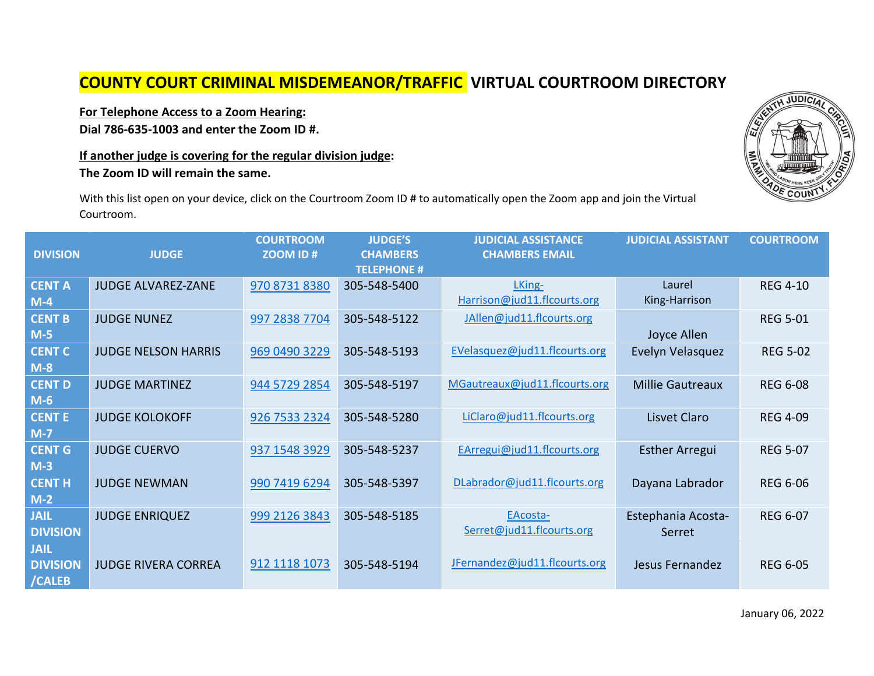## **COUNTY COURT CRIMINAL MISDEMEANOR/TRAFFIC VIRTUAL COURTROOM DIRECTORY**

## **For Telephone Access to a Zoom Hearing:**

**Dial 786-635-1003 and enter the Zoom ID #.** 

## **If another judge is covering for the regular division judge:**

**The Zoom ID will remain the same.**

With this list open on your device, click on the Courtroom Zoom ID # to automatically open the Zoom app and join the Virtual Courtroom.

| <b>DIVISION</b>                          | <b>JUDGE</b>               | <b>COURTROOM</b><br>ZOOM ID# | <b>JUDGE'S</b><br><b>CHAMBERS</b><br><b>TELEPHONE #</b> | <b>JUDICIAL ASSISTANCE</b><br><b>CHAMBERS EMAIL</b> | <b>JUDICIAL ASSISTANT</b>    | <b>COURTROOM</b> |
|------------------------------------------|----------------------------|------------------------------|---------------------------------------------------------|-----------------------------------------------------|------------------------------|------------------|
| <b>CENT A</b><br>$M-4$                   | <b>JUDGE ALVAREZ-ZANE</b>  | 970 8731 8380                | 305-548-5400                                            | LKing-<br>Harrison@jud11.flcourts.org               | Laurel<br>King-Harrison      | <b>REG 4-10</b>  |
| <b>CENT B</b><br>$M-5$                   | <b>JUDGE NUNEZ</b>         | 997 2838 7704                | 305-548-5122                                            | JAllen@jud11.flcourts.org                           | Joyce Allen                  | <b>REG 5-01</b>  |
| <b>CENT C</b><br>$M-8$                   | <b>JUDGE NELSON HARRIS</b> | 969 0490 3229                | 305-548-5193                                            | EVelasquez@jud11.flcourts.org                       | Evelyn Velasquez             | <b>REG 5-02</b>  |
| <b>CENT D</b><br>$M-6$                   | <b>JUDGE MARTINEZ</b>      | 944 5729 2854                | 305-548-5197                                            | MGautreaux@jud11.flcourts.org                       | <b>Millie Gautreaux</b>      | <b>REG 6-08</b>  |
| <b>CENTE</b><br>$M-7$                    | <b>JUDGE KOLOKOFF</b>      | 926 7533 2324                | 305-548-5280                                            | LiClaro@jud11.flcourts.org                          | Lisvet Claro                 | <b>REG 4-09</b>  |
| <b>CENT G</b><br>$M-3$                   | <b>JUDGE CUERVO</b>        | 937 1548 3929                | 305-548-5237                                            | EArregui@jud11.flcourts.org                         | <b>Esther Arregui</b>        | <b>REG 5-07</b>  |
| <b>CENT H</b><br>$M-2$                   | <b>JUDGE NEWMAN</b>        | 990 7419 6294                | 305-548-5397                                            | DLabrador@jud11.flcourts.org                        | Dayana Labrador              | <b>REG 6-06</b>  |
| <b>JAIL</b><br><b>DIVISION</b>           | <b>JUDGE ENRIQUEZ</b>      | 999 2126 3843                | 305-548-5185                                            | EAcosta-<br>Serret@jud11.flcourts.org               | Estephania Acosta-<br>Serret | <b>REG 6-07</b>  |
| <b>JAIL</b><br><b>DIVISION</b><br>/CALEB | <b>JUDGE RIVERA CORREA</b> | 912 1118 1073                | 305-548-5194                                            | JFernandez@jud11.flcourts.org                       | Jesus Fernandez              | <b>REG 6-05</b>  |

**JUDICI**